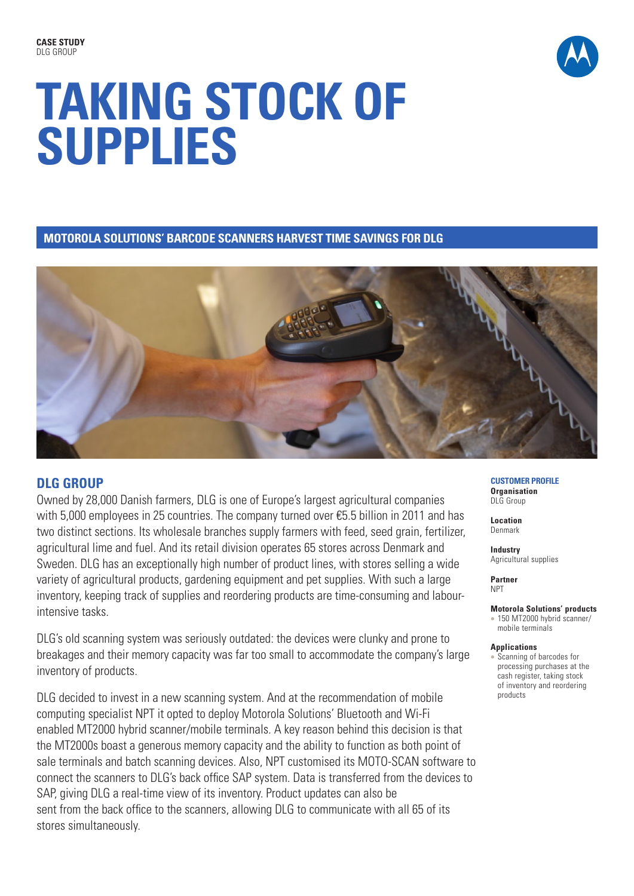

# **TAKING STOCK OF SUPPLIES**

**MOTOROLA SOLUTIONS' BARCODE SCANNERS HARVEST TIME SAVINGS FOR DLG**



## **DLG GROUP**

Owned by 28,000 Danish farmers, DLG is one of Europe's largest agricultural companies with 5,000 employees in 25 countries. The company turned over €5.5 billion in 2011 and has two distinct sections. Its wholesale branches supply farmers with feed, seed grain, fertilizer, agricultural lime and fuel. And its retail division operates 65 stores across Denmark and Sweden. DLG has an exceptionally high number of product lines, with stores selling a wide variety of agricultural products, gardening equipment and pet supplies. With such a large inventory, keeping track of supplies and reordering products are time-consuming and labourintensive tasks.

DLG's old scanning system was seriously outdated: the devices were clunky and prone to breakages and their memory capacity was far too small to accommodate the company's large inventory of products.

DLG decided to invest in a new scanning system. And at the recommendation of mobile computing specialist NPT it opted to deploy Motorola Solutions' Bluetooth and Wi-Fi enabled MT2000 hybrid scanner/mobile terminals. A key reason behind this decision is that the MT2000s boast a generous memory capacity and the ability to function as both point of sale terminals and batch scanning devices. Also, NPT customised its MOTO-SCAN software to connect the scanners to DLG's back office SAP system. Data is transferred from the devices to SAP, giving DLG a real-time view of its inventory. Product updates can also be sent from the back office to the scanners, allowing DLG to communicate with all 65 of its stores simultaneously.

#### **CUSTOMER PROFILE Organisation**  DLG Group

**Location** Denmark

**Industry** Agricultural supplies

**Partner**  NPT

### **Motorola Solutions' products**

• 150 MT2000 hybrid scanner/ mobile terminals

#### **Applications**

**Scanning of barcodes for** processing purchases at the cash register, taking stock of inventory and reordering products